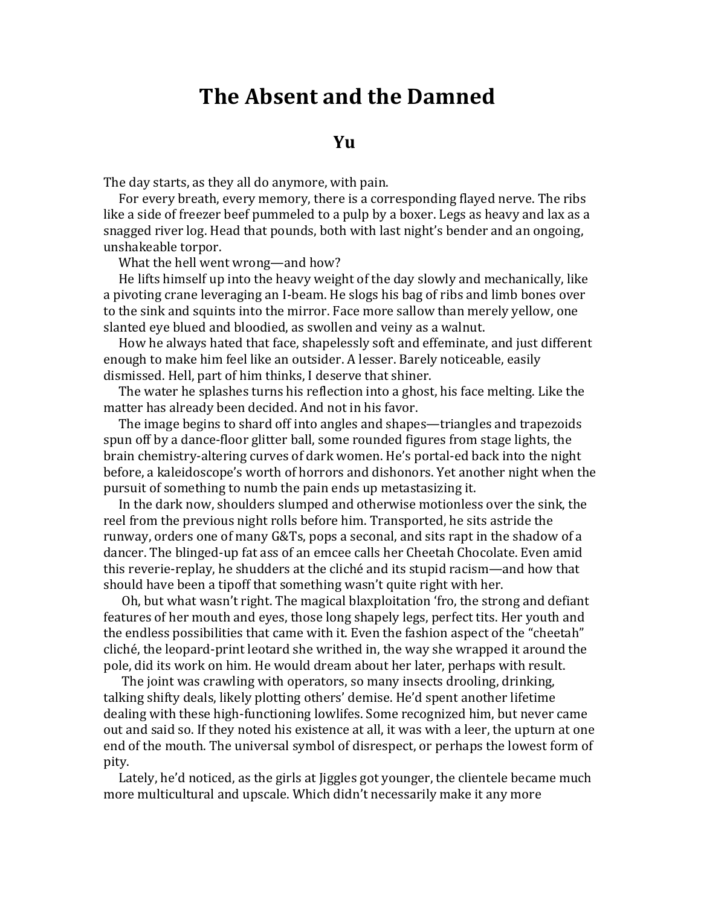## **The Absent and the Damned**

## *<u>M S <i>I I I II III III* </u>

The day starts, as they all do anymore, with pain.

For every breath, every memory, there is a corresponding flayed nerye. The ribs like a side of freezer beef pummeled to a pulp by a boxer. Legs as heavy and lax as a snagged river log. Head that pounds, both with last night's bender and an ongoing, unshakeable torpor.

What the hell went wrong—and how?

He lifts himself up into the heavy weight of the day slowly and mechanically, like a pivoting crane leveraging an I-beam. He slogs his bag of ribs and limb bones over to the sink and squints into the mirror. Face more sallow than merely yellow, one slanted eye blued and bloodied, as swollen and veiny as a walnut.

How he always hated that face, shapelessly soft and effeminate, and just different enough to make him feel like an outsider. A lesser. Barely noticeable, easily dismissed. Hell, part of him thinks, I deserve that shiner.

The water he splashes turns his reflection into a ghost, his face melting. Like the matter has already been decided. And not in his favor.

The image begins to shard off into angles and shapes—triangles and trapezoids spun off by a dance-floor glitter ball, some rounded figures from stage lights, the brain chemistry-altering curves of dark women. He's portal-ed back into the night before, a kaleidoscope's worth of horrors and dishonors. Yet another night when the pursuit of something to numb the pain ends up metastasizing it.

In the dark now, shoulders slumped and otherwise motionless over the sink, the reel from the previous night rolls before him. Transported, he sits astride the runway, orders one of many G&Ts, pops a seconal, and sits rapt in the shadow of a dancer. The blinged-up fat ass of an emcee calls her Cheetah Chocolate. Even amid this reverie-replay, he shudders at the cliché and its stupid racism—and how that should have been a tipoff that something wasn't quite right with her.

Oh, but what wasn't right. The magical blaxploitation 'fro, the strong and defiant features of her mouth and eyes, those long shapely legs, perfect tits. Her youth and the endless possibilities that came with it. Even the fashion aspect of the "cheetah" cliché, the leopard-print leotard she writhed in, the way she wrapped it around the pole, did its work on him. He would dream about her later, perhaps with result.

The joint was crawling with operators, so many insects drooling, drinking, talking shifty deals, likely plotting others' demise. He'd spent another lifetime dealing with these high-functioning lowlifes. Some recognized him, but never came out and said so. If they noted his existence at all, it was with a leer, the upturn at one end of the mouth. The universal symbol of disrespect, or perhaps the lowest form of pity.

Lately, he'd noticed, as the girls at liggles got younger, the clientele became much more multicultural and upscale. Which didn't necessarily make it any more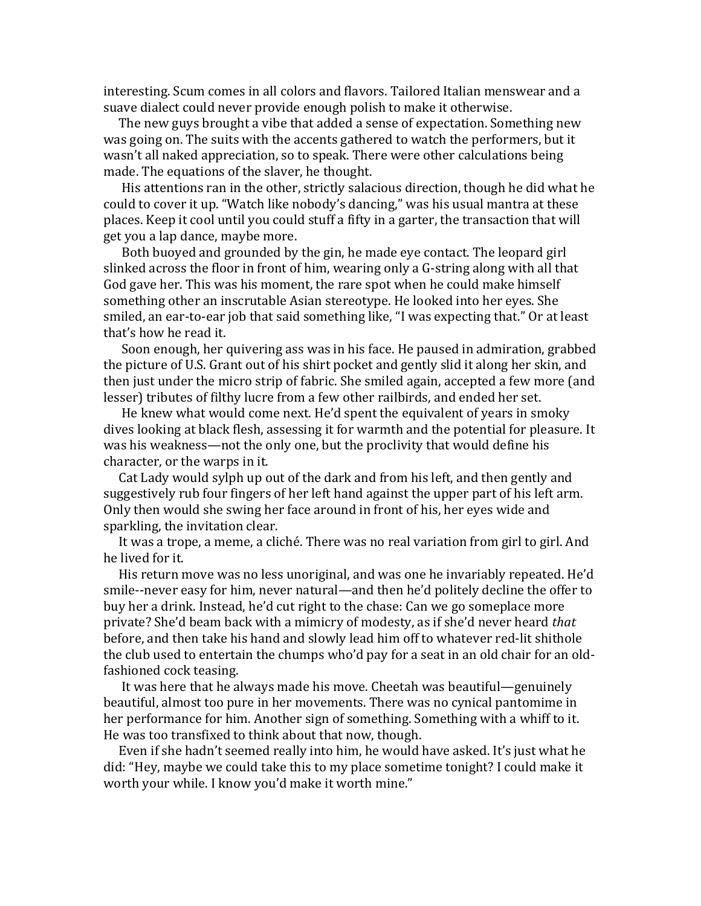interesting. Scum comes in all colors and flavors. Tailored Italian menswear and a suave dialect could never provide enough polish to make it otherwise.

The new guys brought a vibe that added a sense of expectation. Something new was going on. The suits with the accents gathered to watch the performers, but it wasn't all naked appreciation, so to speak. There were other calculations being made. The equations of the slaver, he thought.

His attentions ran in the other, strictly salacious direction, though he did what he could to cover it up. "Watch like nobody's dancing," was his usual mantra at these places. Keep it cool until you could stuff a fifty in a garter, the transaction that will get you a lap dance, maybe more.

Both buoyed and grounded by the gin, he made eye contact. The leopard girl slinked across the floor in front of him, wearing only a G-string along with all that God gave her. This was his moment, the rare spot when he could make himself something other an inscrutable Asian stereotype. He looked into her eyes. She smiled, an ear-to-ear job that said something like, "I was expecting that." Or at least that's how he read it.

Soon enough, her quivering ass was in his face. He paused in admiration, grabbed the picture of U.S. Grant out of his shirt pocket and gently slid it along her skin, and then just under the micro strip of fabric. She smiled again, accepted a few more (and lesser) tributes of filthy lucre from a few other railbirds, and ended her set.

He knew what would come next. He'd spent the equivalent of years in smoky dives looking at black flesh, assessing it for warmth and the potential for pleasure. It was his weakness—not the only one, but the proclivity that would define his character, or the warps in it.

Cat Lady would sylph up out of the dark and from his left, and then gently and suggestively rub four fingers of her left hand against the upper part of his left arm. Only then would she swing her face around in front of his, her eyes wide and sparkling, the invitation clear.

It was a trope, a meme, a cliché. There was no real variation from girl to girl. And he lived for it.

His return move was no less unoriginal, and was one he invariably repeated. He'd smile--never easy for him, never natural—and then he'd politely decline the offer to buy her a drink. Instead, he'd cut right to the chase: Can we go someplace more private? She'd beam back with a mimicry of modesty, as if she'd never heard *that* before, and then take his hand and slowly lead him off to whatever red-lit shithole the club used to entertain the chumps who'd pay for a seat in an old chair for an oldfashioned cock teasing.

It was here that he always made his move. Cheetah was beautiful—genuinely beautiful, almost too pure in her movements. There was no cynical pantomime in her performance for him. Another sign of something. Something with a whiff to it. He was too transfixed to think about that now, though.

Even if she hadn't seemed really into him, he would have asked. It's just what he did: "Hey, maybe we could take this to my place sometime tonight? I could make it worth your while. I know you'd make it worth mine."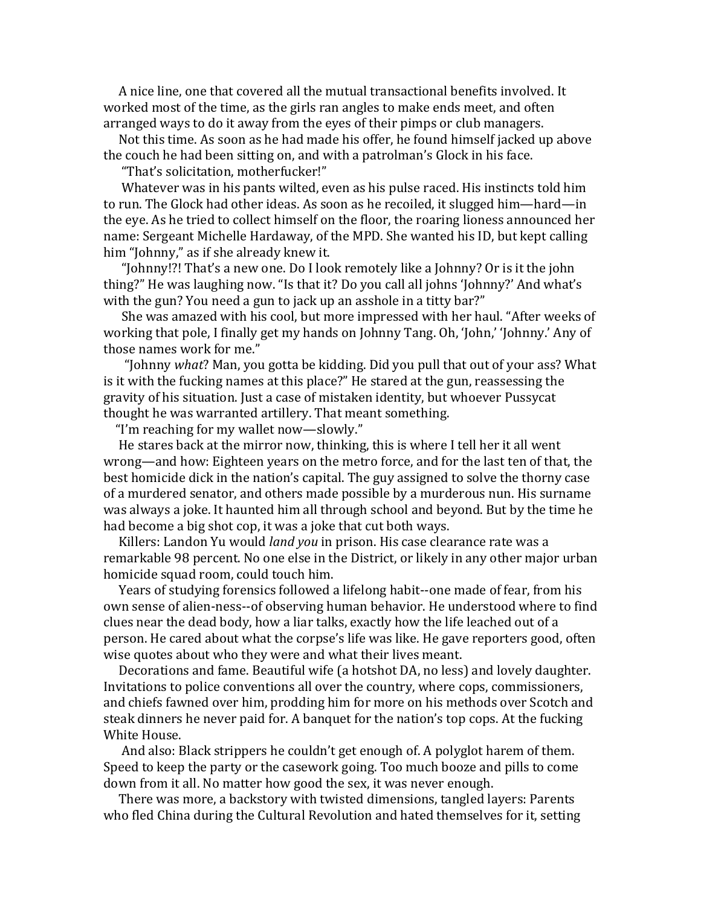A nice line, one that covered all the mutual transactional benefits involved. It worked most of the time, as the girls ran angles to make ends meet, and often arranged ways to do it away from the eyes of their pimps or club managers.

Not this time. As soon as he had made his offer, he found himself jacked up above the couch he had been sitting on, and with a patrolman's Glock in his face.

"That's solicitation, motherfucker!"

Whatever was in his pants wilted, even as his pulse raced. His instincts told him to run. The Glock had other ideas. As soon as he recoiled, it slugged him—hard—in the eye. As he tried to collect himself on the floor, the roaring lioness announced her name: Sergeant Michelle Hardaway, of the MPD. She wanted his ID, but kept calling him "Johnny," as if she already knew it.

"Johnny!?! That's a new one. Do I look remotely like a Johnny? Or is it the john thing?" He was laughing now. "Is that it? Do you call all johns 'Johnny?' And what's with the gun? You need a gun to jack up an asshole in a titty bar?"

She was amazed with his cool, but more impressed with her haul. "After weeks of working that pole, I finally get my hands on Johnny Tang. Oh, 'John,' 'Johnny.' Any of those names work for me."

"Johnny *what*? Man, you gotta be kidding. Did you pull that out of your ass? What is it with the fucking names at this place?" He stared at the gun, reassessing the gravity of his situation. Just a case of mistaken identity, but whoever Pussycat thought he was warranted artillery. That meant something.

"I'm reaching for my wallet now—slowly."

He stares back at the mirror now, thinking, this is where I tell her it all went wrong—and how: Eighteen years on the metro force, and for the last ten of that, the best homicide dick in the nation's capital. The guy assigned to solve the thorny case of a murdered senator, and others made possible by a murderous nun. His surname was always a joke. It haunted him all through school and beyond. But by the time he had become a big shot cop, it was a joke that cut both ways.

Killers: Landon Yu would *land you* in prison. His case clearance rate was a remarkable 98 percent. No one else in the District, or likely in any other major urban homicide squad room, could touch him.

Years of studying forensics followed a lifelong habit--one made of fear, from his own sense of alien-ness--of observing human behavior. He understood where to find clues near the dead body, how a liar talks, exactly how the life leached out of a person. He cared about what the corpse's life was like. He gave reporters good, often wise quotes about who they were and what their lives meant.

Decorations and fame. Beautiful wife (a hotshot DA, no less) and lovely daughter. Invitations to police conventions all over the country, where cops, commissioners, and chiefs fawned over him, prodding him for more on his methods over Scotch and steak dinners he never paid for. A banquet for the nation's top cops. At the fucking White House.

And also: Black strippers he couldn't get enough of. A polyglot harem of them. Speed to keep the party or the casework going. Too much booze and pills to come down from it all. No matter how good the sex, it was never enough.

There was more, a backstory with twisted dimensions, tangled layers: Parents who fled China during the Cultural Revolution and hated themselves for it, setting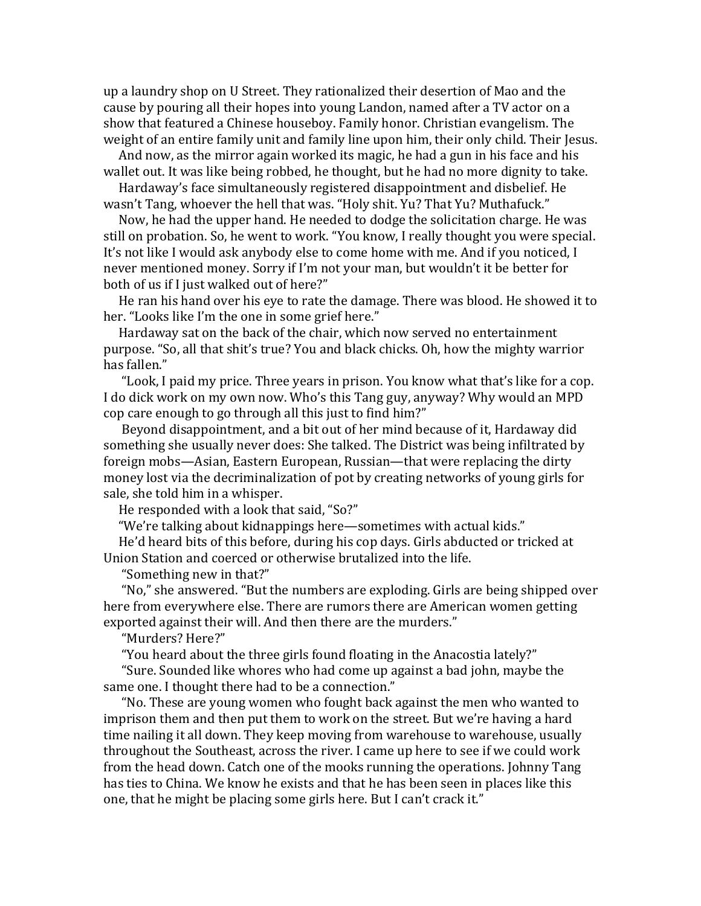up a laundry shop on U Street. They rationalized their desertion of Mao and the cause by pouring all their hopes into young Landon, named after a TV actor on a show that featured a Chinese houseboy. Family honor. Christian evangelism. The weight of an entire family unit and family line upon him, their only child. Their Jesus.

And now, as the mirror again worked its magic, he had a gun in his face and his wallet out. It was like being robbed, he thought, but he had no more dignity to take.

Hardaway's face simultaneously registered disappointment and disbelief. He wasn't Tang, whoever the hell that was. "Holy shit. Yu? That Yu? Muthafuck."

Now, he had the upper hand. He needed to dodge the solicitation charge. He was still on probation. So, he went to work. "You know, I really thought you were special. It's not like I would ask anybody else to come home with me. And if you noticed, I never mentioned money. Sorry if I'm not your man, but wouldn't it be better for both of us if I just walked out of here?"

He ran his hand over his eye to rate the damage. There was blood. He showed it to her. "Looks like I'm the one in some grief here."

Hardaway sat on the back of the chair, which now served no entertainment purpose. "So, all that shit's true? You and black chicks. Oh, how the mighty warrior has fallen."

"Look, I paid my price. Three years in prison. You know what that's like for a cop. I do dick work on my own now. Who's this Tang guy, anyway? Why would an MPD cop care enough to go through all this just to find him?"

Beyond disappointment, and a bit out of her mind because of it, Hardaway did something she usually never does: She talked. The District was being infiltrated by foreign mobs—Asian, Eastern European, Russian—that were replacing the dirty money lost via the decriminalization of pot by creating networks of young girls for sale, she told him in a whisper.

He responded with a look that said, "So?"

"We're talking about kidnappings here-sometimes with actual kids."

He'd heard bits of this before, during his cop days. Girls abducted or tricked at Union Station and coerced or otherwise brutalized into the life.

"Something new in that?"

"No," she answered. "But the numbers are exploding. Girls are being shipped over here from everywhere else. There are rumors there are American women getting exported against their will. And then there are the murders."

"Murders? Here?"

"You heard about the three girls found floating in the Anacostia lately?"

"Sure. Sounded like whores who had come up against a bad john, maybe the same one. I thought there had to be a connection."

"No. These are young women who fought back against the men who wanted to imprison them and then put them to work on the street. But we're having a hard time nailing it all down. They keep moving from warehouse to warehouse, usually throughout the Southeast, across the river. I came up here to see if we could work from the head down. Catch one of the mooks running the operations. Johnny Tang has ties to China. We know he exists and that he has been seen in places like this one, that he might be placing some girls here. But I can't crack it."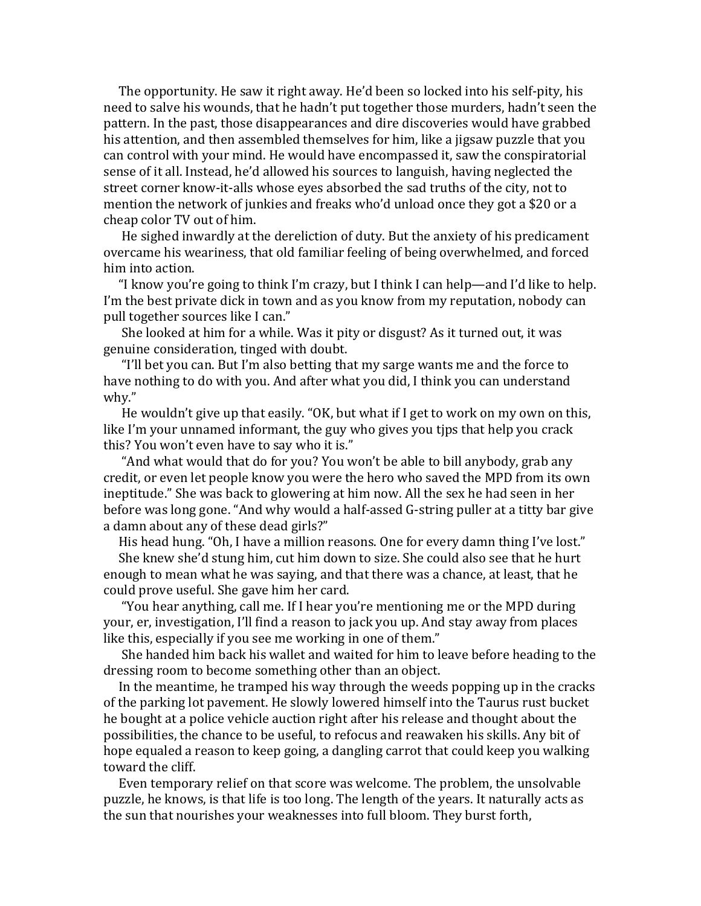The opportunity. He saw it right away. He'd been so locked into his self-pity, his need to salve his wounds, that he hadn't put together those murders, hadn't seen the pattern. In the past, those disappearances and dire discoveries would have grabbed his attention, and then assembled themselves for him, like a jigsaw puzzle that you can control with your mind. He would have encompassed it, saw the conspiratorial sense of it all. Instead, he'd allowed his sources to languish, having neglected the street corner know-it-alls whose eyes absorbed the sad truths of the city, not to mention the network of junkies and freaks who'd unload once they got a \$20 or a cheap color TV out of him.

He sighed inwardly at the dereliction of duty. But the anxiety of his predicament overcame his weariness, that old familiar feeling of being overwhelmed, and forced him into action.

"I know you're going to think I'm crazy, but I think I can help—and I'd like to help. I'm the best private dick in town and as you know from my reputation, nobody can pull together sources like I can."

She looked at him for a while. Was it pity or disgust? As it turned out, it was genuine consideration, tinged with doubt.

"I'll bet you can. But I'm also betting that my sarge wants me and the force to have nothing to do with you. And after what you did, I think you can understand why."

He wouldn't give up that easily. "OK, but what if I get to work on my own on this, like I'm your unnamed informant, the guy who gives you tips that help you crack this? You won't even have to say who it is."

"And what would that do for you? You won't be able to bill anybody, grab any credit, or even let people know you were the hero who saved the MPD from its own ineptitude." She was back to glowering at him now. All the sex he had seen in her before was long gone. "And why would a half-assed G-string puller at a titty bar give a damn about any of these dead girls?"

His head hung. "Oh, I have a million reasons. One for every damn thing I've lost."

She knew she'd stung him, cut him down to size. She could also see that he hurt enough to mean what he was saying, and that there was a chance, at least, that he could prove useful. She gave him her card.

"You hear anything, call me. If I hear you're mentioning me or the MPD during your, er, investigation, I'll find a reason to jack you up. And stay away from places like this, especially if you see me working in one of them."

She handed him back his wallet and waited for him to leave before heading to the dressing room to become something other than an object.

In the meantime, he tramped his way through the weeds popping up in the cracks of the parking lot pavement. He slowly lowered himself into the Taurus rust bucket he bought at a police vehicle auction right after his release and thought about the possibilities, the chance to be useful, to refocus and reawaken his skills. Any bit of hope equaled a reason to keep going, a dangling carrot that could keep you walking toward the cliff.

Even temporary relief on that score was welcome. The problem, the unsolvable puzzle, he knows, is that life is too long. The length of the years. It naturally acts as the sun that nourishes your weaknesses into full bloom. They burst forth,